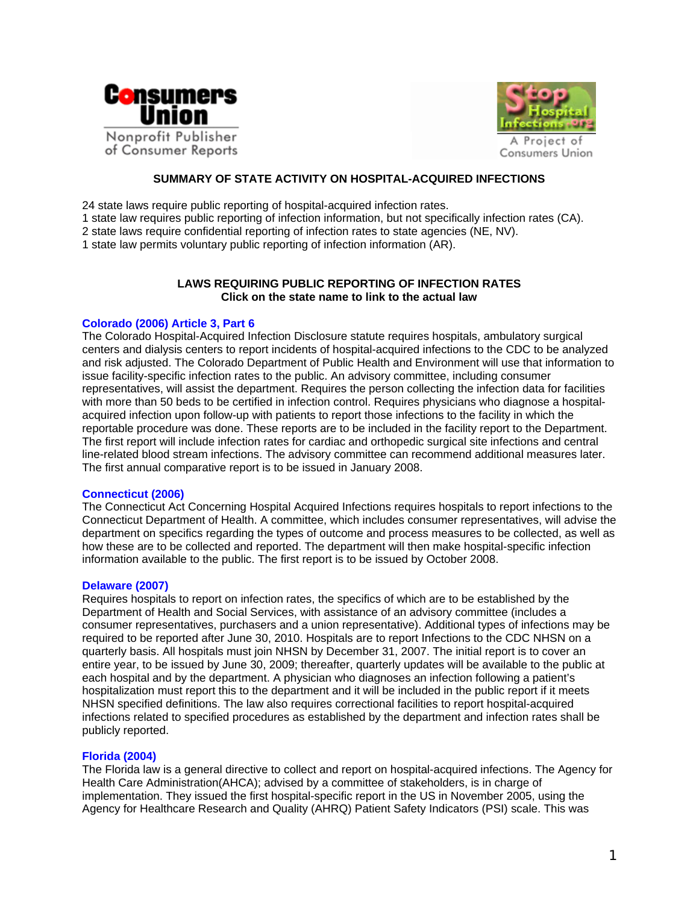



## **SUMMARY OF STATE ACTIVITY ON HOSPITAL-ACQUIRED INFECTIONS**

24 state laws require public reporting of hospital-acquired infection rates.

- 1 state law requires public reporting of infection information, but not specifically infection rates (CA).
- 2 state laws require confidential reporting of infection rates to state agencies (NE, NV).

1 state law permits voluntary public reporting of infection information (AR).

# **LAWS REQUIRING PUBLIC REPORTING OF INFECTION RATES Click on the state name to link to the actual law**

## **[Colorado \(2006\) Article 3, Part 6](http://198.187.128.12/colorado/lpext.dll/Infobase4/3f7fb/405e1/405e3?f=templates&fn=document-frame.htm&2.0)**

The Colorado Hospital-Acquired Infection Disclosure statute requires hospitals, ambulatory surgical centers and dialysis centers to report incidents of hospital-acquired infections to the CDC to be analyzed and risk adjusted. The Colorado Department of Public Health and Environment will use that information to issue facility-specific infection rates to the public. An advisory committee, including consumer representatives, will assist the department. Requires the person collecting the infection data for facilities with more than 50 beds to be certified in infection control. Requires physicians who diagnose a hospitalacquired infection upon follow-up with patients to report those infections to the facility in which the reportable procedure was done. These reports are to be included in the facility report to the Department. The first report will include infection rates for cardiac and orthopedic surgical site infections and central line-related blood stream infections. The advisory committee can recommend additional measures later. The first annual comparative report is to be issued in January 2008.

#### **[Connecticut \(2006\)](http://www.cga.ct.gov/2006/ACT/PA/2006PA-00142-R00SB-00160-PA.htm)**

The Connecticut Act Concerning Hospital Acquired Infections requires hospitals to report infections to the Connecticut Department of Health. A committee, which includes consumer representatives, will advise the department on specifics regarding the types of outcome and process measures to be collected, as well as how these are to be collected and reported. The department will then make hospital-specific infection information available to the public. The first report is to be issued by October 2008.

## **[Delaware \(2007\)](http://legis.delaware.gov/LIS/lis144.nsf/EngrossmentsforLookup/HS+1+FOR+HB+47/$file/0661440100.doc?open)**

Requires hospitals to report on infection rates, the specifics of which are to be established by the Department of Health and Social Services, with assistance of an advisory committee (includes a consumer representatives, purchasers and a union representative). Additional types of infections may be required to be reported after June 30, 2010. Hospitals are to report Infections to the CDC NHSN on a quarterly basis. All hospitals must join NHSN by December 31, 2007. The initial report is to cover an entire year, to be issued by June 30, 2009; thereafter, quarterly updates will be available to the public at each hospital and by the department. A physician who diagnoses an infection following a patient's hospitalization must report this to the department and it will be included in the public report if it meets NHSN specified definitions. The law also requires correctional facilities to report hospital-acquired infections related to specified procedures as established by the department and infection rates shall be publicly reported.

## **[Florida \(2004\)](http://www.leg.state.fl.us/statutes/index.cfm?mode=View%20Statutes&SubMenu=1&App_mode=Display_Statute&Search_String=hospital+and+infections&URL=CH0408/Sec05.HTM)**

The Florida law is a general directive to collect and report on hospital-acquired infections. The Agency for Health Care Administration(AHCA); advised by a committee of stakeholders, is in charge of implementation. They issued the first hospital-specific report in the US in November 2005, using the Agency for Healthcare Research and Quality (AHRQ) Patient Safety Indicators (PSI) scale. This was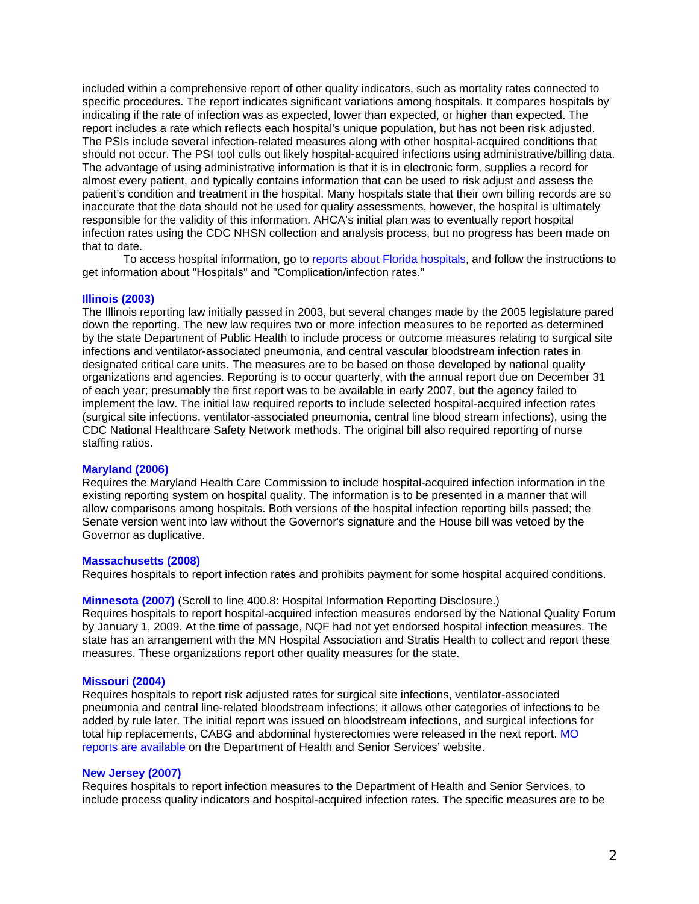included within a comprehensive report of other quality indicators, such as mortality rates connected to specific procedures. The report indicates significant variations among hospitals. It compares hospitals by indicating if the rate of infection was as expected, lower than expected, or higher than expected. The report includes a rate which reflects each hospital's unique population, but has not been risk adjusted. The PSIs include several infection-related measures along with other hospital-acquired conditions that should not occur. The PSI tool culls out likely hospital-acquired infections using administrative/billing data. The advantage of using administrative information is that it is in electronic form, supplies a record for almost every patient, and typically contains information that can be used to risk adjust and assess the patient's condition and treatment in the hospital. Many hospitals state that their own billing records are so inaccurate that the data should not be used for quality assessments, however, the hospital is ultimately responsible for the validity of this information. AHCA's initial plan was to eventually report hospital infection rates using the CDC NHSN collection and analysis process, but no progress has been made on that to date.

To access hospital information, go to [reports about Florida hospitals](http://www.floridacomparecare.gov/(S(wztlht45dzq4m455mct5nkzt))/SelectChoice.aspx), and follow the instructions to get information about "Hospitals" and "Complication/infection rates."

#### **[Illinois \(2003\)](http://www.ilga.gov/legislation/ilcs/ilcs3.asp?ActID=2466&ChapAct=210%26nbsp%3BILCS%26nbsp%3B86%2F&ChapterID=21&ChapterName=HEALTH+FACILITIES&ActName=Hospital+Report+Card+Act%2E)**

The Illinois reporting law initially passed in 2003, but several changes made by the 2005 legislature pared down the reporting. The new law requires two or more infection measures to be reported as determined by the state Department of Public Health to include process or outcome measures relating to surgical site infections and ventilator-associated pneumonia, and central vascular bloodstream infection rates in designated critical care units. The measures are to be based on those developed by national quality organizations and agencies. Reporting is to occur quarterly, with the annual report due on December 31 of each year; presumably the first report was to be available in early 2007, but the agency failed to implement the law. The initial law required reports to include selected hospital-acquired infection rates (surgical site infections, ventilator-associated pneumonia, central line blood stream infections), using the CDC National Healthcare Safety Network methods. The original bill also required reporting of nurse staffing ratios.

#### **[Maryland \(2006\)](http://mlis.state.md.us/cgi-win/web_statutes.exe?ghg&19-134)**

Requires the Maryland Health Care Commission to include hospital-acquired infection information in the existing reporting system on hospital quality. The information is to be presented in a manner that will allow comparisons among hospitals. Both versions of the hospital infection reporting bills passed; the Senate version went into law without the Governor's signature and the House bill was vetoed by the Governor as duplicative.

### **[Massachusetts \(2008\)](http://www.mass.gov/legis/laws/seslaw08/sl080305.htm)**

Requires hospitals to report infection rates and prohibits payment for some hospital acquired conditions.

#### **[Minnesota \(2007\)](http://www.revisor.leg.state.mn.us/bin/bldbill.php?bill=H1078.3.html&session=ls85)** (Scroll to line 400.8: Hospital Information Reporting Disclosure.)

Requires hospitals to report hospital-acquired infection measures endorsed by the National Quality Forum by January 1, 2009. At the time of passage, NQF had not yet endorsed hospital infection measures. The state has an arrangement with the MN Hospital Association and Stratis Health to collect and report these measures. These organizations report other quality measures for the state.

## **[Missouri \(2004\)](http://www.moga.state.mo.us/statutes/chapters/chap192.htm)**

Requires hospitals to report risk adjusted rates for surgical site infections, ventilator-associated pneumonia and central line-related bloodstream infections; it allows other categories of infections to be added by rule later. The initial report was issued on bloodstream infections, and surgical infections for total hip replacements, CABG and abdominal hysterectomies were released in the next report. [MO](http://www.dhss.mo.gov/HAI/)  [reports are available](http://www.dhss.mo.gov/HAI/) on the Department of Health and Senior Services' website.

#### **[New Jersey](http://www.njleg.state.nj.us/2006/Bills/PL07/196_.PDF) (2007)**

Requires hospitals to report infection measures to the Department of Health and Senior Services, to include process quality indicators and hospital-acquired infection rates. The specific measures are to be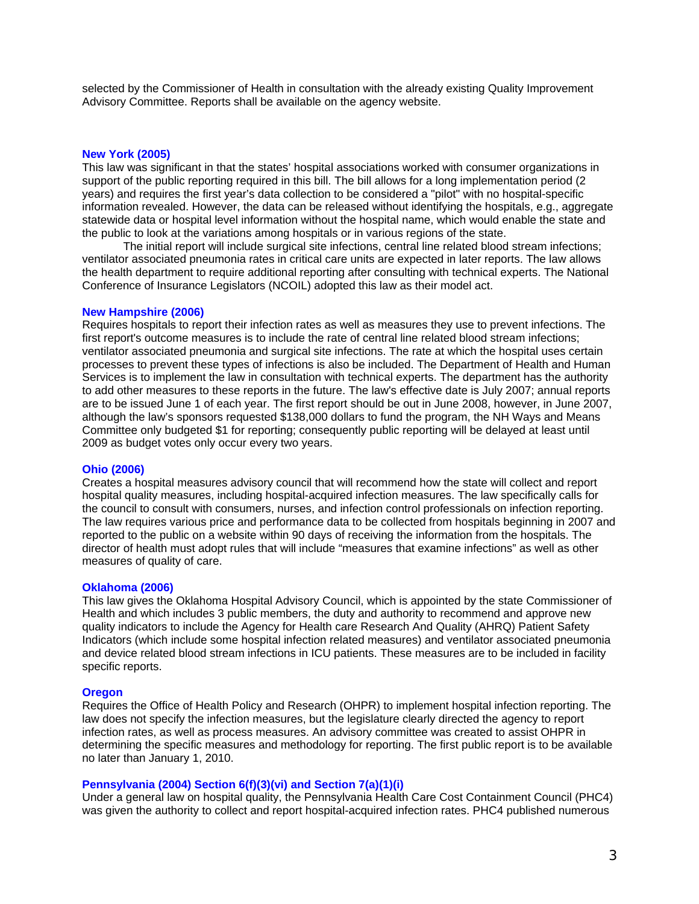selected by the Commissioner of Health in consultation with the already existing Quality Improvement Advisory Committee. Reports shall be available on the agency website.

## **[New York](http://cu.convio.net/NY_law) (2005)**

This law was significant in that the states' hospital associations worked with consumer organizations in support of the public reporting required in this bill. The bill allows for a long implementation period (2 years) and requires the first year's data collection to be considered a "pilot" with no hospital-specific information revealed. However, the data can be released without identifying the hospitals, e.g., aggregate statewide data or hospital level information without the hospital name, which would enable the state and the public to look at the variations among hospitals or in various regions of the state.

The initial report will include surgical site infections, central line related blood stream infections; ventilator associated pneumonia rates in critical care units are expected in later reports. The law allows the health department to require additional reporting after consulting with technical experts. The National Conference of Insurance Legislators (NCOIL) adopted this law as their model act.

## **[New Hampshire \(2006\)](http://www.gencourt.state.nh.us/rsa/html/XI/151/151-33.htm)**

Requires hospitals to report their infection rates as well as measures they use to prevent infections. The first report's outcome measures is to include the rate of central line related blood stream infections; ventilator associated pneumonia and surgical site infections. The rate at which the hospital uses certain processes to prevent these types of infections is also be included. The Department of Health and Human Services is to implement the law in consultation with technical experts. The department has the authority to add other measures to these reports in the future. The law's effective date is July 2007; annual reports are to be issued June 1 of each year. The first report should be out in June 2008, however, in June 2007, although the law's sponsors requested \$138,000 dollars to fund the program, the NH Ways and Means Committee only budgeted \$1 for reporting; consequently public reporting will be delayed at least until 2009 as budget votes only occur every two years.

#### **[Ohio \(2006\)](http://codes.ohio.gov/orc/3727)**

Creates a hospital measures advisory council that will recommend how the state will collect and report hospital quality measures, including hospital-acquired infection measures. The law specifically calls for the council to consult with consumers, nurses, and infection control professionals on infection reporting. The law requires various price and performance data to be collected from hospitals beginning in 2007 and reported to the public on a website within 90 days of receiving the information from the hospitals. The director of health must adopt rules that will include "measures that examine infections" as well as other measures of quality of care.

## **[Oklahoma \(2006\)](http://webserver1.lsb.state.ok.us/2005-06bills/HB/HB2842_ENR.RTF)**

This law gives the Oklahoma Hospital Advisory Council, which is appointed by the state Commissioner of Health and which includes 3 public members, the duty and authority to recommend and approve new quality indicators to include the Agency for Health care Research And Quality (AHRQ) Patient Safety Indicators (which include some hospital infection related measures) and ventilator associated pneumonia and device related blood stream infections in ICU patients. These measures are to be included in facility specific reports.

#### **[Oregon](http://www.leg.state.or.us/07reg/measures/hb2500.dir/hb2524.en.html)**

Requires the Office of Health Policy and Research (OHPR) to implement hospital infection reporting. The law does not specify the infection measures, but the legislature clearly directed the agency to report infection rates, as well as process measures. An advisory committee was created to assist OHPR in determining the specific measures and methodology for reporting. The first public report is to be available no later than January 1, 2010.

## **[Pennsylvania \(2004\) Section 6\(f\)\(3\)\(vi\) and Section 7\(a\)\(1\)\(i\)](http://www.phc4.org/council/act14.htm)**

Under a general law on hospital quality, the Pennsylvania Health Care Cost Containment Council (PHC4) was given the authority to collect and report hospital-acquired infection rates. PHC4 published numerous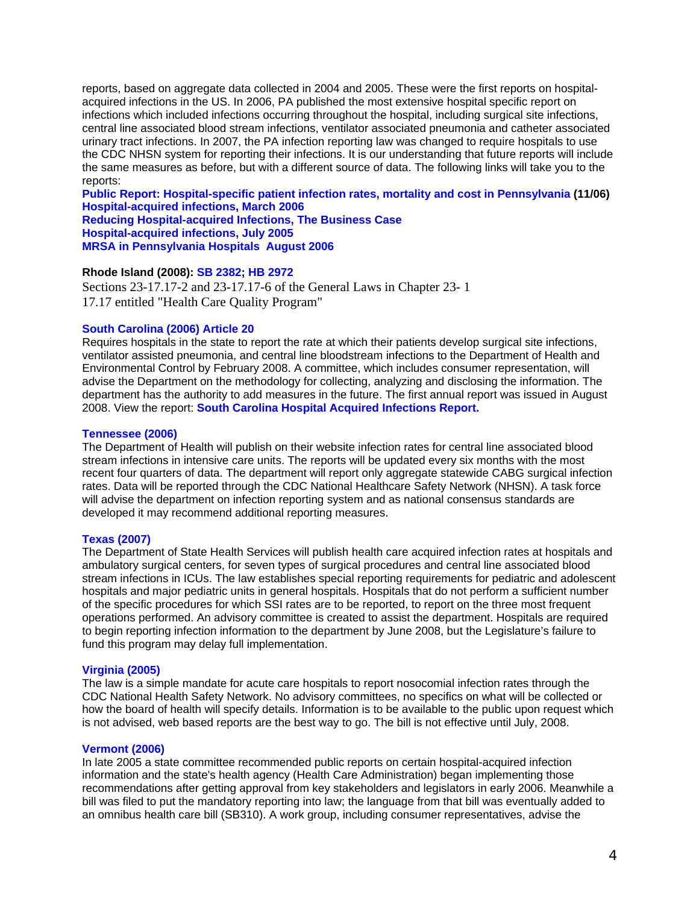reports, based on aggregate data collected in 2004 and 2005. These were the first reports on hospitalacquired infections in the US. In 2006, PA published the most extensive hospital specific report on infections which included infections occurring throughout the hospital, including surgical site infections, central line associated blood stream infections, ventilator associated pneumonia and catheter associated urinary tract infections. In 2007, the PA infection reporting law was changed to require hospitals to use the CDC NHSN system for reporting their infections. It is our understanding that future reports will include the same measures as before, but with a different source of data. The following links will take you to the reports:

**[Public Report: Hospital-specific patient infection rates, mortality and cost in Pennsylvania](http://www.phc4.org/reports/hai/05/) (11/06) [Hospital-acquired infections, March 2006](http://www.phc4.org/reports/researchbriefs/032906/) [Reducing Hospital-acquired Infections, The Business Case](http://www.phc4.org/reports/researchbriefs/111705/default.htm) [Hospital-acquired infections, July 2005](http://www.phc4.org/reports/researchbriefs/071205/default.htm)** 

**[MRSA in Pennsylvania Hospitals August 2006](http://www.phc4.org/reports/researchbriefs/082506/default.htm)**

## **Rhode Island (2008): [SB 2382;](http://www.rilin.state.ri.us/PublicLaws/law08/law08097.htm) [HB 2972](http://www.rilin.state.ri.us/PublicLaws/law08/law08154.htm)**

Sections 23-17.17-2 and 23-17.17-6 of the General Laws in Chapter 23- 1 17.17 entitled "Health Care Quality Program"

## **[South Carolina \(2006\) Article 20](http://www.scstatehouse.net/code/t44c007.htm)**

Requires hospitals in the state to report the rate at which their patients develop surgical site infections, ventilator assisted pneumonia, and central line bloodstream infections to the Department of Health and Environmental Control by February 2008. A committee, which includes consumer representation, will advise the Department on the methodology for collecting, analyzing and disclosing the information. The department has the authority to add measures in the future. The first annual report was issued in August 2008. View the report: **[South Carolina Hospital Acquired Infections Report.](http://www.scdhec.net/health/disease/hai/reports.htm)** 

### **[Tennessee \(2006\)](http://tennessee.gov/sos/acts/104/pub/pc0904.pdf)**

The Department of Health will publish on their website infection rates for central line associated blood stream infections in intensive care units. The reports will be updated every six months with the most recent four quarters of data. The department will report only aggregate statewide CABG surgical infection rates. Data will be reported through the CDC National Healthcare Safety Network (NHSN). A task force will advise the department on infection reporting system and as national consensus standards are developed it may recommend additional reporting measures.

#### **[Texas \(2007\)](http://www.capitol.state.tx.us/tlodocs/80R/billtext/html/SB00288F.htm)**

The Department of State Health Services will publish health care acquired infection rates at hospitals and ambulatory surgical centers, for seven types of surgical procedures and central line associated blood stream infections in ICUs. The law establishes special reporting requirements for pediatric and adolescent hospitals and major pediatric units in general hospitals. Hospitals that do not perform a sufficient number of the specific procedures for which SSI rates are to be reported, to report on the three most frequent operations performed. An advisory committee is created to assist the department. Hospitals are required to begin reporting infection information to the department by June 2008, but the Legislature's failure to fund this program may delay full implementation.

#### **[Virginia \(2005\)](http://leg1.state.va.us/cgi-bin/legp504.exe?000+cod+32.1-35.1)**

The law is a simple mandate for acute care hospitals to report nosocomial infection rates through the CDC National Health Safety Network. No advisory committees, no specifics on what will be collected or how the board of health will specify details. Information is to be available to the public upon request which is not advised, web based reports are the best way to go. The bill is not effective until July, 2008.

#### **[Vermont \(2006\)](http://www.leg.state.vt.us/statutes/fullsection.cfm?Title=18&Chapter=221&Section=09405b)**

In late 2005 a state committee recommended public reports on certain hospital-acquired infection information and the state's health agency (Health Care Administration) began implementing those recommendations after getting approval from key stakeholders and legislators in early 2006. Meanwhile a bill was filed to put the mandatory reporting into law; the language from that bill was eventually added to an omnibus health care bill (SB310). A work group, including consumer representatives, advise the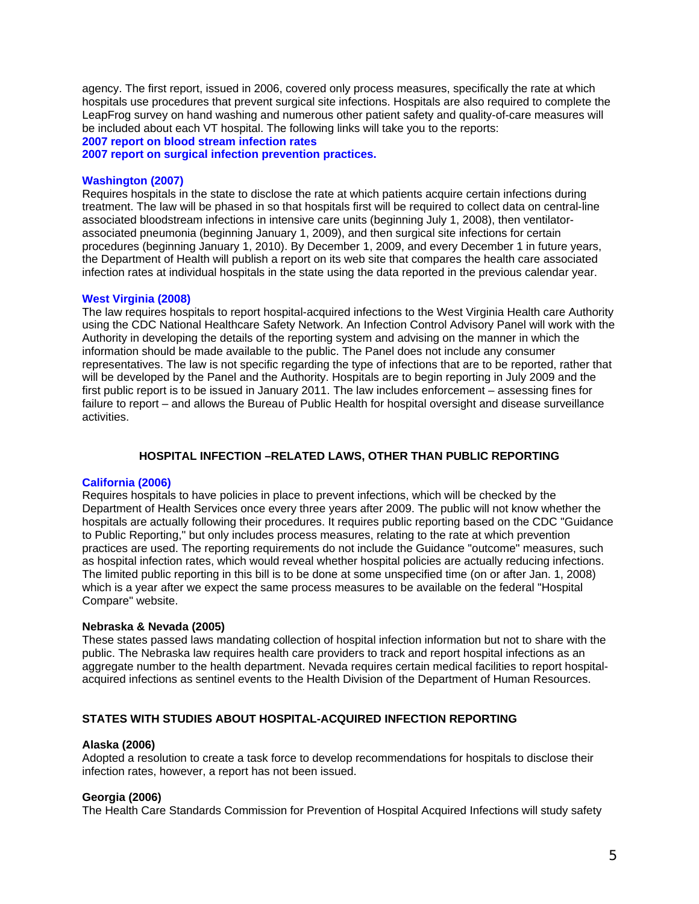agency. The first report, issued in 2006, covered only process measures, specifically the rate at which hospitals use procedures that prevent surgical site infections. Hospitals are also required to complete the LeapFrog survey on hand washing and numerous other patient safety and quality-of-care measures will be included about each VT hospital. The following links will take you to the reports:

**[2007 report on blood stream infection rates](http://www.bishca.state.vt.us/HcaDiv/HRAP_Act53/HRC_BISHCAcomparison_2007/surgical_cvline_infection_2007.htm)**

**[2007 report on surgical infection prevention practices.](http://www.bishca.state.vt.us/HcaDiv/HRAP_Act53/HRC_BISHCAcomparison_2007/surgical_infection_prevention_2007.htm)**

### **[Washington \(2007\)](http://www.leg.wa.gov/pub/billinfo/2007-08/Pdf/Bills/House Passed Legislature/1106-S2.PL.pdf)**

Requires hospitals in the state to disclose the rate at which patients acquire certain infections during treatment. The law will be phased in so that hospitals first will be required to collect data on central-line associated bloodstream infections in intensive care units (beginning July 1, 2008), then ventilatorassociated pneumonia (beginning January 1, 2009), and then surgical site infections for certain procedures (beginning January 1, 2010). By December 1, 2009, and every December 1 in future years, the Department of Health will publish a report on its web site that compares the health care associated infection rates at individual hospitals in the state using the data reported in the previous calendar year.

#### **[West Virginia \(2008\)](http://www.legis.state.wv.us/Bill_Text_HTML/2008_SESSIONS/RS/BILLS/HB4418 ENR.htm)**

The law requires hospitals to report hospital-acquired infections to the West Virginia Health care Authority using the CDC National Healthcare Safety Network. An Infection Control Advisory Panel will work with the Authority in developing the details of the reporting system and advising on the manner in which the information should be made available to the public. The Panel does not include any consumer representatives. The law is not specific regarding the type of infections that are to be reported, rather that will be developed by the Panel and the Authority. Hospitals are to begin reporting in July 2009 and the first public report is to be issued in January 2011. The law includes enforcement – assessing fines for failure to report – and allows the Bureau of Public Health for hospital oversight and disease surveillance activities.

## **HOSPITAL INFECTION –RELATED LAWS, OTHER THAN PUBLIC REPORTING**

## **[California \(2006\)](http://info.sen.ca.gov/pub/05-06/bill/sen/sb_0701-0750/sb_739_bill_20060928_chaptered.html)**

Requires hospitals to have policies in place to prevent infections, which will be checked by the Department of Health Services once every three years after 2009. The public will not know whether the hospitals are actually following their procedures. It requires public reporting based on the CDC "Guidance to Public Reporting," but only includes process measures, relating to the rate at which prevention practices are used. The reporting requirements do not include the Guidance "outcome" measures, such as hospital infection rates, which would reveal whether hospital policies are actually reducing infections. The limited public reporting in this bill is to be done at some unspecified time (on or after Jan. 1, 2008) which is a year after we expect the same process measures to be available on the federal "Hospital Compare" website.

#### **Nebraska & Nevada (2005)**

These states passed laws mandating collection of hospital infection information but not to share with the public. The Nebraska law requires health care providers to track and report hospital infections as an aggregate number to the health department. Nevada requires certain medical facilities to report hospitalacquired infections as sentinel events to the Health Division of the Department of Human Resources.

# **STATES WITH STUDIES ABOUT HOSPITAL-ACQUIRED INFECTION REPORTING**

## **Alaska (2006)**

Adopted a resolution to create a task force to develop recommendations for hospitals to disclose their infection rates, however, a report has not been issued.

## **Georgia (2006)**

The Health Care Standards Commission for Prevention of Hospital Acquired Infections will study safety